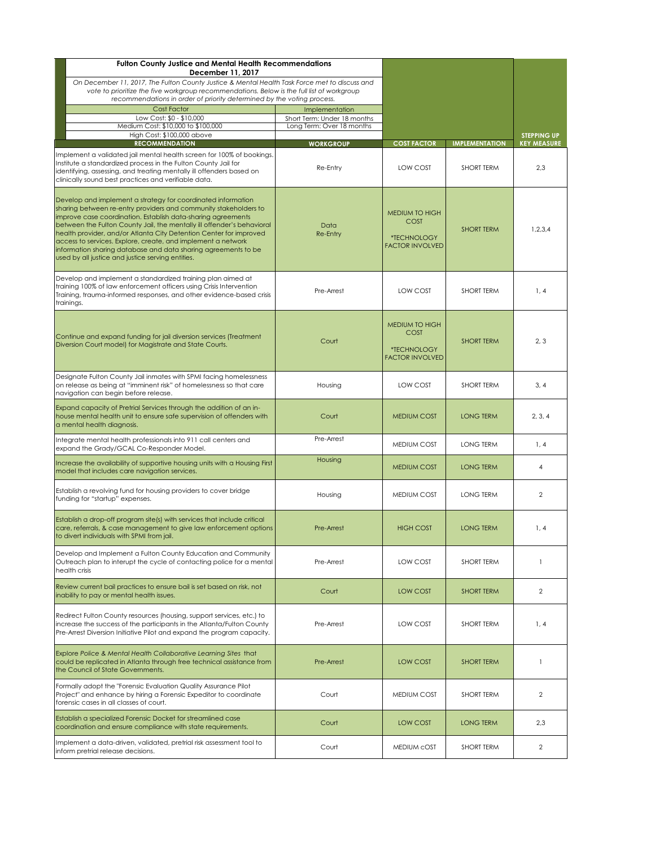| <b>Fulton County Justice and Mental Health Recommendations</b><br>December 11, 2017                                                                                                                                                                                                                                                                                                                                                                                                                                                     |                                                                            |                                                                               |                       |                                          |
|-----------------------------------------------------------------------------------------------------------------------------------------------------------------------------------------------------------------------------------------------------------------------------------------------------------------------------------------------------------------------------------------------------------------------------------------------------------------------------------------------------------------------------------------|----------------------------------------------------------------------------|-------------------------------------------------------------------------------|-----------------------|------------------------------------------|
| On December 11, 2017, The Fulton County Justice & Mental Health Task Force met to discuss and<br>vote to prioritize the five workgroup recommendations. Below is the full list of workgroup<br>recommendations in order of priority determined by the voting process.                                                                                                                                                                                                                                                                   |                                                                            |                                                                               |                       |                                          |
| <b>Cost Factor</b><br>Low Cost: \$0 - \$10,000<br>Medium Cost: \$10,000 to \$100,000                                                                                                                                                                                                                                                                                                                                                                                                                                                    | Implementation<br>Short Term: Under 18 months<br>Long Term: Over 18 months |                                                                               |                       |                                          |
| High Cost: \$100,000 above<br><b>RECOMMENDATION</b>                                                                                                                                                                                                                                                                                                                                                                                                                                                                                     | <b>WORKGROUP</b>                                                           | <b>COST FACTOR</b>                                                            | <b>IMPLEMENTATION</b> | <b>STEPPING UP</b><br><b>KEY MEASURE</b> |
| Implement a validated jail mental health screen for 100% of bookings.<br>Institute a standardized process in the Fulton County Jail for<br>identifying, assessing, and treating mentally ill offenders based on<br>clinically sound best practices and verifiable data.                                                                                                                                                                                                                                                                 | Re-Entry                                                                   | LOW COST                                                                      | SHORT TERM            | 2,3                                      |
| Develop and implement a strategy for coordinated information<br>sharing between re-entry providers and community stakeholders to<br>improve case coordination. Establish data-sharing agreements<br>between the Fulton County Jail, the mentally ill offender's behavioral<br>health provider, and/or Atlanta City Detention Center for improved<br>access to services. Explore, create, and implement a network<br>information sharing database and data sharing agreements to be<br>used by all justice and justice serving entities. | <b>Data</b><br>Re-Entry                                                    | <b>MEDIUM TO HIGH</b><br><b>COST</b><br>*TECHNOLOGY<br><b>FACTOR INVOLVED</b> | <b>SHORT TERM</b>     | 1,2,3,4                                  |
| Develop and implement a standardized training plan aimed at<br>training 100% of law enforcement officers using Crisis Intervention<br>Training, trauma-informed responses, and other evidence-based crisis<br>trainings.                                                                                                                                                                                                                                                                                                                | Pre-Arrest                                                                 | LOW COST                                                                      | <b>SHORT TERM</b>     | 1, 4                                     |
| Continue and expand funding for jail diversion services (Treatment<br>Diversion Court model) for Magistrate and State Courts.                                                                                                                                                                                                                                                                                                                                                                                                           | Court                                                                      | <b>MEDIUM TO HIGH</b><br><b>COST</b><br>*TECHNOLOGY<br><b>FACTOR INVOLVED</b> | <b>SHORT TERM</b>     | 2, 3                                     |
| Designate Fulton County Jail inmates with SPMI facing homelessness<br>on release as being at "imminent risk" of homelessness so that care<br>navigation can begin before release.                                                                                                                                                                                                                                                                                                                                                       | Housing                                                                    | LOW COST                                                                      | <b>SHORT TERM</b>     | 3, 4                                     |
| Expand capacity of Pretrial Services through the addition of an in-<br>house mental health unit to ensure safe supervision of offenders with<br>a mental health diagnosis.                                                                                                                                                                                                                                                                                                                                                              | Court                                                                      | <b>MEDIUM COST</b>                                                            | <b>LONG TERM</b>      | 2, 3, 4                                  |
| Integrate mental health professionals into 911 call centers and<br>expand the Grady/GCAL Co-Responder Model.                                                                                                                                                                                                                                                                                                                                                                                                                            | Pre-Arrest                                                                 | MEDIUM COST                                                                   | LONG TERM             | 1, 4                                     |
| Increase the availability of supportive housing units with a Housing First<br>model that includes care navigation services.                                                                                                                                                                                                                                                                                                                                                                                                             | Housing                                                                    | <b>MEDIUM COST</b>                                                            | <b>LONG TERM</b>      | $\overline{4}$                           |
| Establish a revolving fund for housing providers to cover bridge<br>funding for "startup" expenses.                                                                                                                                                                                                                                                                                                                                                                                                                                     | Housing                                                                    | MEDIUM COST                                                                   | <b>LONG TERM</b>      | $\overline{2}$                           |
| Establish a drop-off program site(s) with services that include critical<br>care, referrals, & case management to give law enforcement options<br>to divert individuals with SPMI from jail.                                                                                                                                                                                                                                                                                                                                            | Pre-Arrest                                                                 | <b>HIGH COST</b>                                                              | <b>LONG TERM</b>      | 1, 4                                     |
| Develop and Implement a Fulton County Education and Community<br>Outreach plan to interupt the cycle of contacting police for a mental<br>health crisis                                                                                                                                                                                                                                                                                                                                                                                 | Pre-Arrest                                                                 | <b>LOW COST</b>                                                               | SHORT TERM            | 1                                        |
| Review current bail practices to ensure bail is set based on risk, not<br>inability to pay or mental health issues.                                                                                                                                                                                                                                                                                                                                                                                                                     | Court                                                                      | <b>LOW COST</b>                                                               | <b>SHORT TERM</b>     | $\overline{2}$                           |
| Redirect Fulton County resources (housing, support services, etc.) to<br>increase the success of the participants in the Atlanta/Fulton County<br>Pre-Arrest Diversion Initiative Pilot and expand the program capacity.                                                                                                                                                                                                                                                                                                                | Pre-Arrest                                                                 | LOW COST                                                                      | <b>SHORT TERM</b>     | 1, 4                                     |
| Explore Police & Mental Health Collaborative Learning Sites that<br>could be replicated in Atlanta through free technical assistance from<br>the Council of State Governments.                                                                                                                                                                                                                                                                                                                                                          | Pre-Arrest                                                                 | <b>LOW COST</b>                                                               | <b>SHORT TERM</b>     | 1                                        |
| Formally adopt the "Forensic Evaluation Quality Assurance Pilot<br>Project" and enhance by hiring a Forensic Expeditor to coordinate<br>forensic cases in all classes of court.                                                                                                                                                                                                                                                                                                                                                         | Court                                                                      | <b>MEDIUM COST</b>                                                            | <b>SHORT TERM</b>     | $\overline{2}$                           |
| Establish a specialized Forensic Docket for streamlined case<br>coordination and ensure compliance with state requirements.                                                                                                                                                                                                                                                                                                                                                                                                             | Court                                                                      | <b>LOW COST</b>                                                               | <b>LONG TERM</b>      | 2,3                                      |
| Implement a data-driven, validated, pretrial risk assessment tool to<br>inform pretrial release decisions.                                                                                                                                                                                                                                                                                                                                                                                                                              | Court                                                                      | MEDIUM COST                                                                   | SHORT TERM            | $\overline{2}$                           |